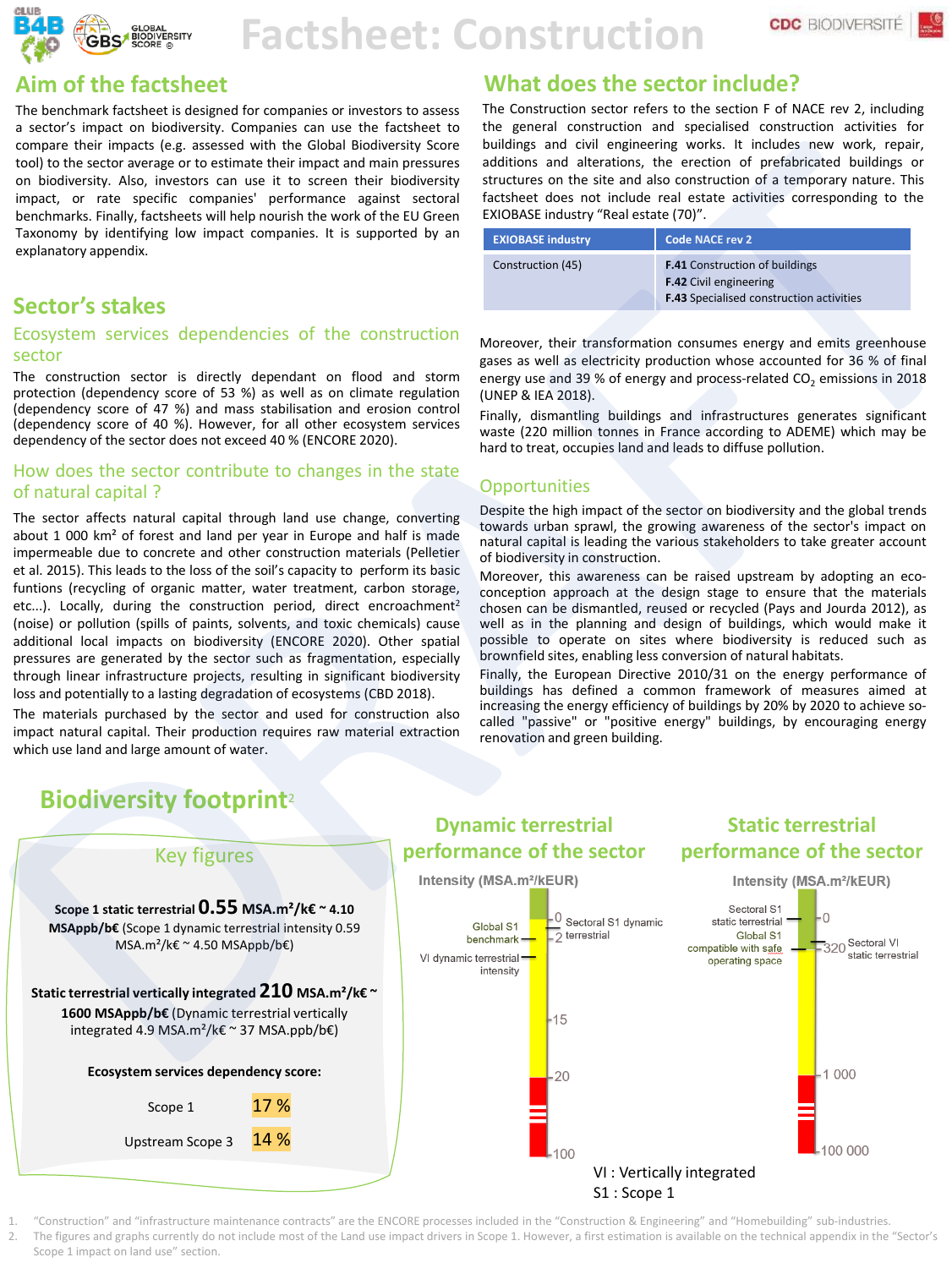

# **Factsheet: Construction**

## **Aim of the factsheet**

The benchmark factsheet is designed for companies or investors to assess a sector's impact on biodiversity. Companies can use the factsheet to compare their impacts (e.g. assessed with the Global Biodiversity Score tool) to the sector average or to estimate their impact and main pressures on biodiversity. Also, investors can use it to screen their biodiversity impact, or rate specific companies' performance against sectoral benchmarks. Finally, factsheets will help nourish the work of the EU Green Taxonomy by identifying low impact companies. It is supported by an explanatory appendix.

# **Sector's stakes**

#### Ecosystem services dependencies of the construction sector

The construction sector is directly dependant on flood and storm protection (dependency score of 53 %) as well as on climate regulation (dependency score of 47 %) and mass stabilisation and erosion control (dependency score of 40 %). However, for all other ecosystem services dependency of the sector does not exceed 40 % (ENCORE 2020).

#### How does the sector contribute to changes in the state of natural capital ?

The sector affects natural capital through land use change, converting about 1 000 km² of forest and land per year in Europe and half is made impermeable due to concrete and other construction materials (Pelletier et al. 2015). This leads to the loss of the soil's capacity to perform its basic funtions (recycling of organic matter, water treatment, carbon storage, etc...). Locally, during the construction period, direct encroachment<sup>2</sup> (noise) or pollution (spills of paints, solvents, and toxic chemicals) cause additional local impacts on biodiversity (ENCORE 2020). Other spatial pressures are generated by the sector such as fragmentation, especially through linear infrastructure projects, resulting in significant biodiversity loss and potentially to a lasting degradation of ecosystems (CBD 2018).

The materials purchased by the sector and used for construction also impact natural capital. Their production requires raw material extraction which use land and large amount of water.

# **What does the sector include?**

The Construction sector refers to the section F of NACE rev 2, including the general construction and specialised construction activities for buildings and civil engineering works. It includes new work, repair, additions and alterations, the erection of prefabricated buildings or structures on the site and also construction of a temporary nature. This factsheet does not include real estate activities corresponding to the EXIOBASE industry "Real estate (70)".

| <b>EXIOBASE industry</b> | Code NACE rev 2                                                                                                           |  |  |
|--------------------------|---------------------------------------------------------------------------------------------------------------------------|--|--|
| Construction (45)        | <b>F.41</b> Construction of buildings<br><b>F.42</b> Civil engineering<br><b>F.43</b> Specialised construction activities |  |  |

Moreover, their transformation consumes energy and emits greenhouse gases as well as electricity production whose accounted for 36 % of final energy use and 39 % of energy and process-related  $CO<sub>2</sub>$  emissions in 2018 (UNEP & IEA 2018).

Finally, dismantling buildings and infrastructures generates significant waste (220 million tonnes in France according to ADEME) which may be hard to treat, occupies land and leads to diffuse pollution.

#### **Opportunities**

Despite the high impact of the sector on biodiversity and the global trends towards urban sprawl, the growing awareness of the sector's impact on natural capital is leading the various stakeholders to take greater account of biodiversity in construction.

Moreover, this awareness can be raised upstream by adopting an ecoconception approach at the design stage to ensure that the materials chosen can be dismantled, reused or recycled (Pays and Jourda 2012), as well as in the planning and design of buildings, which would make it possible to operate on sites where biodiversity is reduced such as brownfield sites, enabling less conversion of natural habitats.

Finally, the European Directive 2010/31 on the energy performance of buildings has defined a common framework of measures aimed at increasing the energy efficiency of buildings by 20% by 2020 to achieve socalled "passive" or "positive energy" buildings, by encouraging energy renovation and green building.



1. "Construction" and "infrastructure maintenance contracts" are the ENCORE processes included in the "Construction & Engineering" and "Homebuilding" sub-industries. 2. The figures and graphs currently do not include most of the Land use impact drivers in Scope 1. However, a first estimation is available on the technical appendix in the "Sector's Scope 1 impact on land use" section.

# **Biodiversity footprint**<sup>2</sup>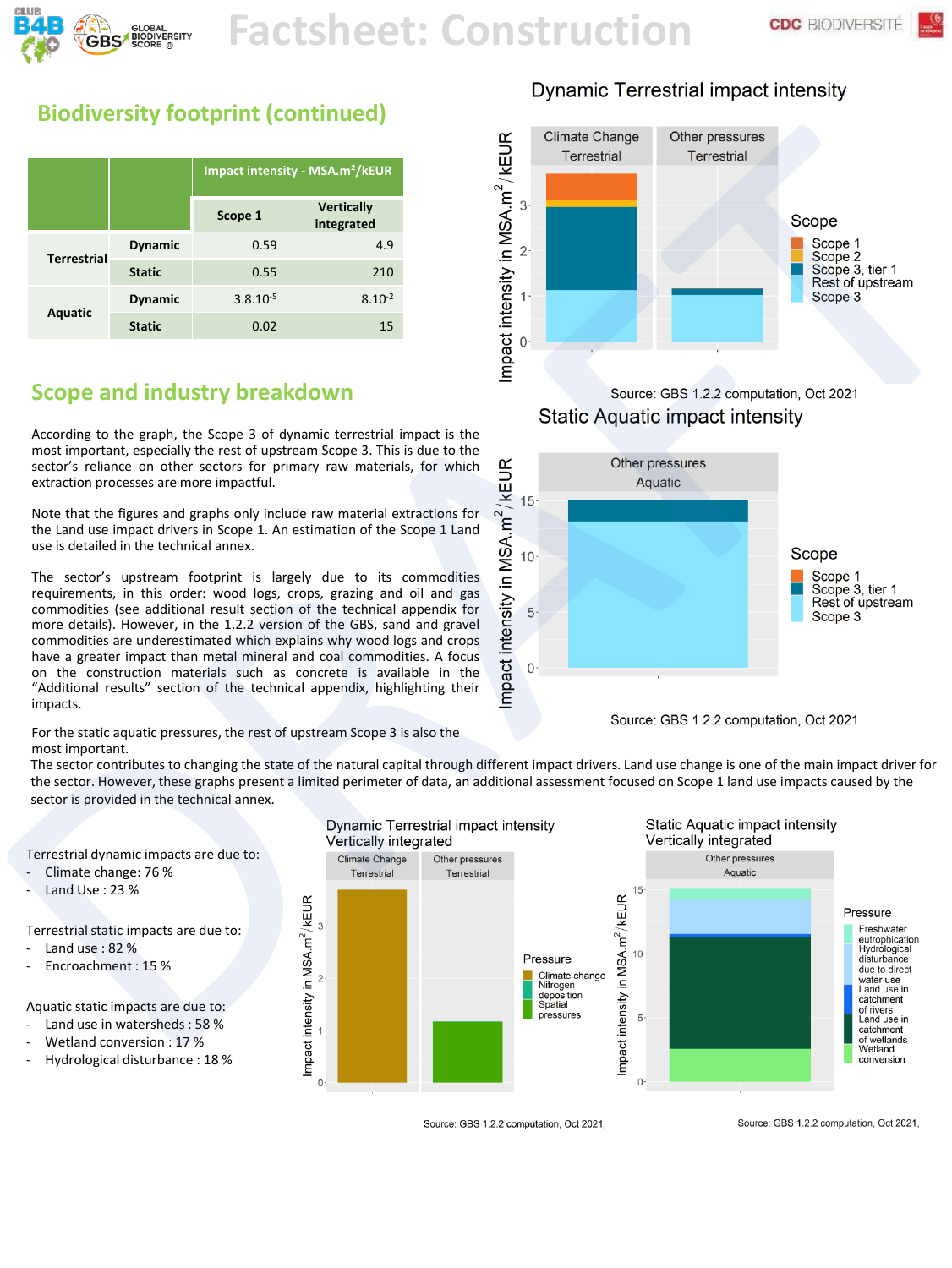

# **Factsheet: Construction**

e.

# **Biodiversity footprint (continued)**

|                    |                | Impact intensity - MSA.m <sup>2</sup> /kEUR |                                 |  |
|--------------------|----------------|---------------------------------------------|---------------------------------|--|
|                    |                | Scope 1                                     | <b>Vertically</b><br>integrated |  |
| <b>Terrestrial</b> | <b>Dynamic</b> | 0.59                                        | 4.9                             |  |
|                    | <b>Static</b>  | 0.55                                        | 210                             |  |
| <b>Aquatic</b>     | <b>Dynamic</b> | $3.8.10^{-5}$                               | $8.10^{-2}$                     |  |
|                    | <b>Static</b>  | 0.02                                        | 15                              |  |

# **Scope and industry breakdown**

According to the graph, the Scope 3 of dynamic terrestrial impact is the most important, especially the rest of upstream Scope 3. This is due to the sector's reliance on other sectors for primary raw materials, for which extraction processes are more impactful.

Note that the figures and graphs only include raw material extractions for the Land use impact drivers in Scope 1. An estimation of the Scope 1 Land use is detailed in the technical annex.

The sector's upstream footprint is largely due to its commodities requirements, in this order: wood logs, crops, grazing and oil and gas commodities (see additional result section of the technical appendix for more details). However, in the 1.2.2 version of the GBS, sand and gravel commodities are underestimated which explains why wood logs and crops have a greater impact than metal mineral and coal commodities. A focus on the construction materials such as concrete is available in the "Additional results" section of the technical appendix, highlighting their impacts.

For the static aquatic pressures, the rest of upstream Scope 3 is also the most important.

# **Dynamic Terrestrial impact intensity**



**Static Aquatic impact intensity** 



The sector contributes to changing the state of the natural capital through different impact drivers. Land use change is one of the main impact driver for the sector. However, these graphs present a limited perimeter of data, an additional assessment focused on Scope 1 land use impacts caused by the sector is provided in the technical annex.

Terrestrial dynamic impacts are due to:

- Climate change: 76 %
- Land Use : 23 %

Terrestrial static impacts are due to:

- Land use: 82 %
- Encroachment: 15 %

Aquatic static impacts are due to:

- Land use in watersheds : 58 %
- Wetland conversion : 17 %
- Hydrological disturbance : 18 %



Source: GBS 1.2.2 computation, Oct 2021,

Source: GBS 1.2.2 computation, Oct 2021,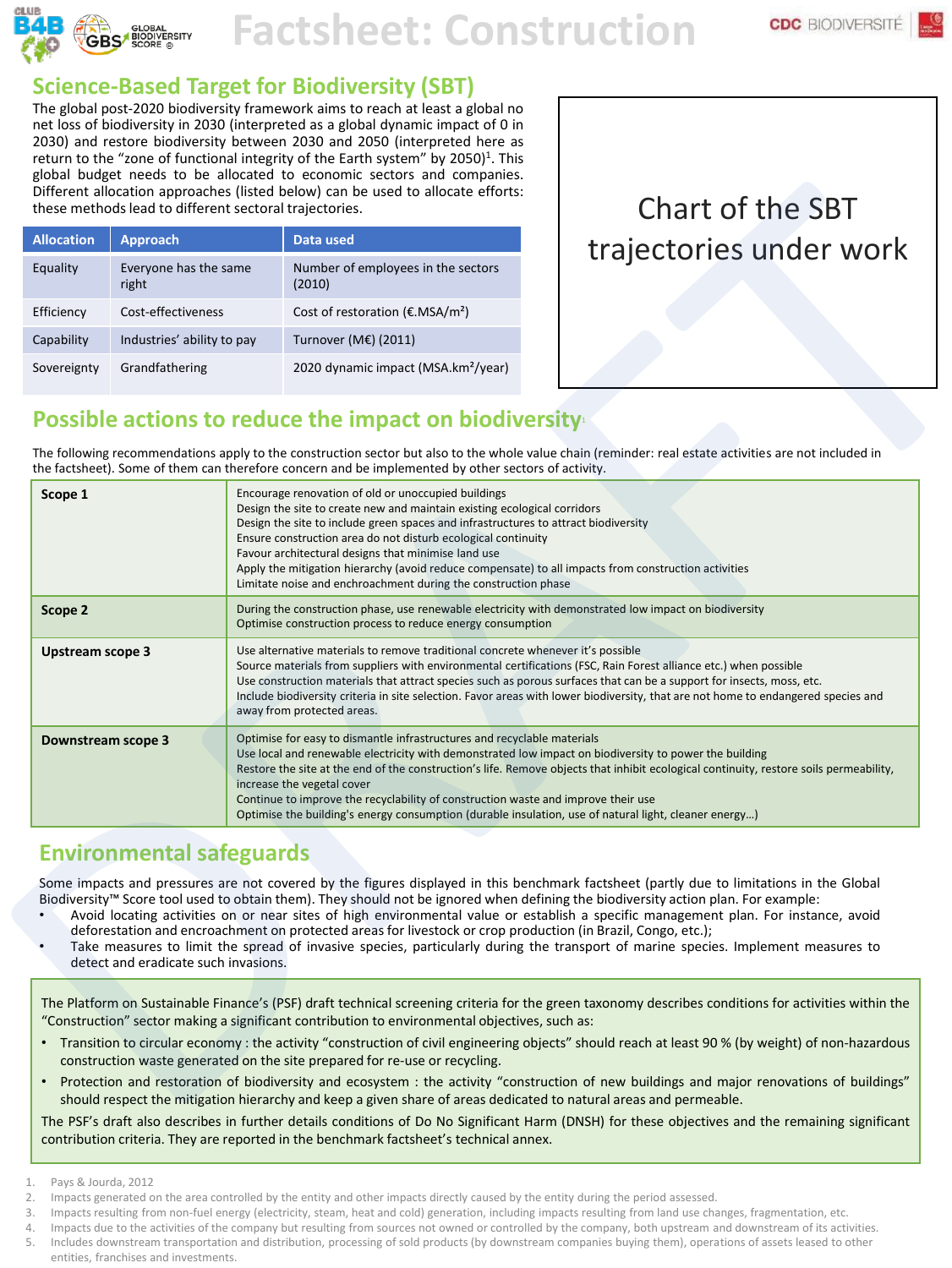

# **Factsheet: Construction**

### **Science-Based Target for Biodiversity (SBT)**

The global post-2020 biodiversity framework aims to reach at least a global no net loss of biodiversity in 2030 (interpreted as a global dynamic impact of 0 in 2030) and restore biodiversity between 2030 and 2050 (interpreted here as return to the "zone of functional integrity of the Earth system" by 2050) 1 . This global budget needs to be allocated to economic sectors and companies. Different allocation approaches (listed below) can be used to allocate efforts:<br>these methods lead to different sectoral trajectories.

| <b>Allocation</b> | <b>Approach</b>                | Data used                                              |
|-------------------|--------------------------------|--------------------------------------------------------|
| Equality          | Everyone has the same<br>right | Number of employees in the sectors<br>(2010)           |
| Efficiency        | Cost-effectiveness             | Cost of restoration ( $\epsilon$ .MSA/m <sup>2</sup> ) |
| Capability        | Industries' ability to pay     | Turnover (M€) (2011)                                   |
| Sovereignty       | Grandfathering                 | 2020 dynamic impact (MSA.km <sup>2</sup> /year)        |

# Chart of the SBT trajectories under work

### **Possible actions to reduce the impact on biodiversity**<sup>1</sup>

The following recommendations apply to the construction sector but also to the whole value chain (reminder: real estate activities are not included in the factsheet). Some of them can therefore concern and be implemented by other sectors of activity.

| Scope 1                 | Encourage renovation of old or unoccupied buildings<br>Design the site to create new and maintain existing ecological corridors<br>Design the site to include green spaces and infrastructures to attract biodiversity<br>Ensure construction area do not disturb ecological continuity<br>Favour architectural designs that minimise land use<br>Apply the mitigation hierarchy (avoid reduce compensate) to all impacts from construction activities<br>Limitate noise and enchroachment during the construction phase                                |
|-------------------------|---------------------------------------------------------------------------------------------------------------------------------------------------------------------------------------------------------------------------------------------------------------------------------------------------------------------------------------------------------------------------------------------------------------------------------------------------------------------------------------------------------------------------------------------------------|
| Scope 2                 | During the construction phase, use renewable electricity with demonstrated low impact on biodiversity<br>Optimise construction process to reduce energy consumption                                                                                                                                                                                                                                                                                                                                                                                     |
| <b>Upstream scope 3</b> | Use alternative materials to remove traditional concrete whenever it's possible<br>Source materials from suppliers with environmental certifications (FSC, Rain Forest alliance etc.) when possible<br>Use construction materials that attract species such as porous surfaces that can be a support for insects, moss, etc.<br>Include biodiversity criteria in site selection. Favor areas with lower biodiversity, that are not home to endangered species and<br>away from protected areas.                                                         |
| Downstream scope 3      | Optimise for easy to dismantle infrastructures and recyclable materials<br>Use local and renewable electricity with demonstrated low impact on biodiversity to power the building<br>Restore the site at the end of the construction's life. Remove objects that inhibit ecological continuity, restore soils permeability,<br>increase the vegetal cover<br>Continue to improve the recyclability of construction waste and improve their use<br>Optimise the building's energy consumption (durable insulation, use of natural light, cleaner energy) |

# **Environmental safeguards**

Some impacts and pressures are not covered by the figures displayed in this benchmark factsheet (partly due to limitations in the Global Biodiversity™ Score tool used to obtain them). They should not be ignored when defining the biodiversity action plan. For example:

- Avoid locating activities on or near sites of high environmental value or establish a specific management plan. For instance, avoid deforestation and encroachment on protected areas for livestock or crop production (in Brazil, Congo, etc.);
- Take measures to limit the spread of invasive species, particularly during the transport of marine species. Implement measures to detect and eradicate such invasions.

The Platform on Sustainable Finance's (PSF) draft technical screening criteria for the green taxonomy describes conditions for activities within the "Construction" sector making a significant contribution to environmental objectives, such as:

- Transition to circular economy : the activity "construction of civil engineering objects" should reach at least 90 % (by weight) of non-hazardous construction waste generated on the site prepared for re-use or recycling.
- Protection and restoration of biodiversity and ecosystem : the activity "construction of new buildings and major renovations of buildings" should respect the mitigation hierarchy and keep a given share of areas dedicated to natural areas and permeable.

The PSF's draft also describes in further details conditions of Do No Significant Harm (DNSH) for these objectives and the remaining significant contribution criteria. They are reported in the benchmark factsheet's technical annex.

- Pays & Jourda, 2012
- 2. Impacts generated on the area controlled by the entity and other impacts directly caused by the entity during the period assessed.
- Impacts resulting from non-fuel energy (electricity, steam, heat and cold) generation, including impacts resulting from land use changes, fragmentation, etc.
- 4. Impacts due to the activities of the company but resulting from sources not owned or controlled by the company, both upstream and downstream of its activities.
- 5. Includes downstream transportation and distribution, processing of sold products (by downstream companies buying them), operations of assets leased to other

entities, franchises and investments.